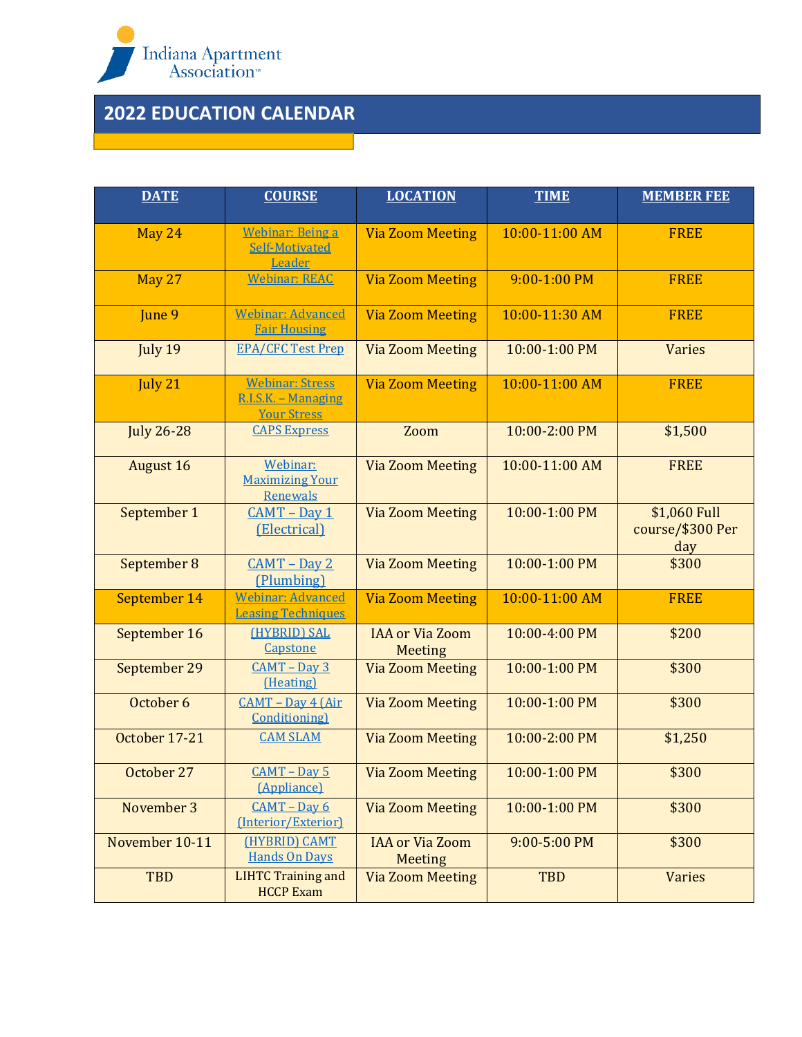

## **2022 EDUCATION CALENDAR**

and the state of the state of the state of the state of the state of the

| <b>DATE</b>       | <b>COURSE</b>                                                       | <b>LOCATION</b>                          | <b>TIME</b>    | <b>MEMBER FEE</b>                       |
|-------------------|---------------------------------------------------------------------|------------------------------------------|----------------|-----------------------------------------|
| May 24            | <b>Webinar: Being a</b><br>Self-Motivated<br>Leader                 | <b>Via Zoom Meeting</b>                  | 10:00-11:00 AM | <b>FREE</b>                             |
| <b>May 27</b>     | <b>Webinar: REAC</b>                                                | <b>Via Zoom Meeting</b>                  | 9:00-1:00 PM   | <b>FREE</b>                             |
| June 9            | <b>Webinar: Advanced</b><br><b>Fair Housing</b>                     | <b>Via Zoom Meeting</b>                  | 10:00-11:30 AM | <b>FREE</b>                             |
| July 19           | <b>EPA/CFC Test Prep</b>                                            | <b>Via Zoom Meeting</b>                  | 10:00-1:00 PM  | <b>Varies</b>                           |
| July 21           | <b>Webinar: Stress</b><br>R.I.S.K. - Managing<br><b>Your Stress</b> | <b>Via Zoom Meeting</b>                  | 10:00-11:00 AM | <b>FREE</b>                             |
| <b>July 26-28</b> | <b>CAPS Express</b>                                                 | Zoom                                     | 10:00-2:00 PM  | \$1,500                                 |
| <b>August 16</b>  | Webinar:<br><b>Maximizing Your</b><br>Renewals                      | <b>Via Zoom Meeting</b>                  | 10:00-11:00 AM | <b>FREE</b>                             |
| September 1       | $CAMT - Day 1$<br>(Electrical)                                      | <b>Via Zoom Meeting</b>                  | 10:00-1:00 PM  | \$1,060 Full<br>course/\$300 Per<br>day |
| September 8       | $CAMT - Day 2$<br>(Plumbing)                                        | <b>Via Zoom Meeting</b>                  | 10:00-1:00 PM  | \$300                                   |
| September 14      | <b>Webinar: Advanced</b><br><b>Leasing Techniques</b>               | <b>Via Zoom Meeting</b>                  | 10:00-11:00 AM | <b>FREE</b>                             |
| September 16      | (HYBRID) SAL<br>Capstone                                            | <b>IAA or Via Zoom</b><br><b>Meeting</b> | 10:00-4:00 PM  | \$200                                   |
| September 29      | $CAMT - Dav3$<br>(Heating)                                          | <b>Via Zoom Meeting</b>                  | 10:00-1:00 PM  | \$300                                   |
| October 6         | CAMT - Day 4 (Air<br><b>Conditioning</b>                            | <b>Via Zoom Meeting</b>                  | 10:00-1:00 PM  | \$300                                   |
| October 17-21     | <b>CAM SLAM</b>                                                     | <b>Via Zoom Meeting</b>                  | 10:00-2:00 PM  | \$1,250                                 |
| October 27        | $CAMT - Day 5$<br>(Appliance)                                       | <b>Via Zoom Meeting</b>                  | 10:00-1:00 PM  | \$300                                   |
| November 3        | $CAMT - Dav6$<br>(Interior/Exterior)                                | <b>Via Zoom Meeting</b>                  | 10:00-1:00 PM  | \$300                                   |
| November 10-11    | (HYBRID) CAMT<br><b>Hands On Days</b>                               | <b>IAA</b> or Via Zoom<br>Meeting        | 9:00-5:00 PM   | \$300                                   |
| <b>TBD</b>        | <b>LIHTC Training and</b><br><b>HCCP Exam</b>                       | <b>Via Zoom Meeting</b>                  | <b>TBD</b>     | <b>Varies</b>                           |